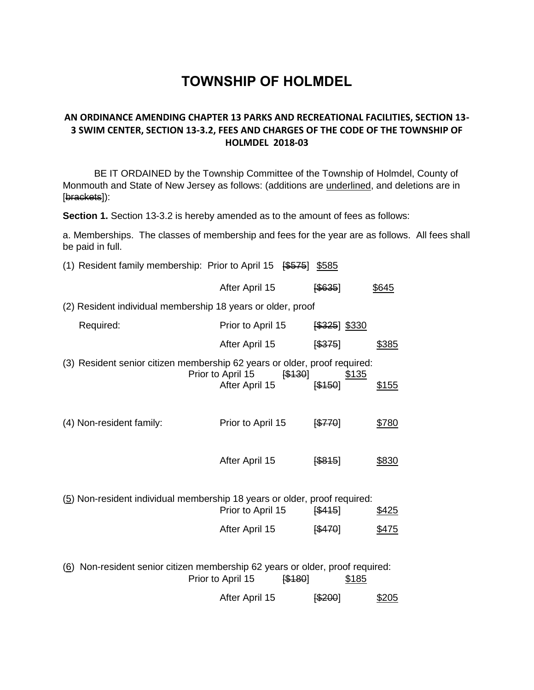# **TOWNSHIP OF HOLMDEL**

## **AN ORDINANCE AMENDING CHAPTER 13 PARKS AND RECREATIONAL FACILITIES, SECTION 13- 3 SWIM CENTER, SECTION 13-3.2, FEES AND CHARGES OF THE CODE OF THE TOWNSHIP OF HOLMDEL 2018-03**

BE IT ORDAINED by the Township Committee of the Township of Holmdel, County of Monmouth and State of New Jersey as follows: (additions are underlined, and deletions are in [brackets]):

**Section 1.** Section 13-3.2 is hereby amended as to the amount of fees as follows:

a. Memberships. The classes of membership and fees for the year are as follows. All fees shall be paid in full.

| (1) Resident family membership: Prior to April 15 $$\sqrt{\$575}]$            |                              | \$585         |              |
|-------------------------------------------------------------------------------|------------------------------|---------------|--------------|
|                                                                               | After April 15               | [\$635]       | \$645        |
| (2) Resident individual membership 18 years or older, proof                   |                              |               |              |
| Required:                                                                     | Prior to April 15            | [\$325] \$330 |              |
|                                                                               | After April 15               | [\$375]       | \$385        |
| (3) Resident senior citizen membership 62 years or older, proof required:     | Prior to April 15<br>[\$130] | <u>\$135</u>  |              |
|                                                                               | After April 15               | [\$150]       | \$155        |
| (4) Non-resident family:                                                      | Prior to April 15            | 5770          | \$780        |
|                                                                               | After April 15               | [\$845]       | \$830        |
| (5) Non-resident individual membership 18 years or older, proof required:     |                              |               |              |
|                                                                               | Prior to April 15            | 5415          | <u>\$425</u> |
|                                                                               | After April 15               | [\$470]       | \$475        |
|                                                                               |                              |               |              |
| (6) Non-resident senior citizen membership 62 years or older, proof required: | Prior to April 15<br>[\$180] | <u>\$185</u>  |              |
|                                                                               | After April 15               | [\$200]       | \$205        |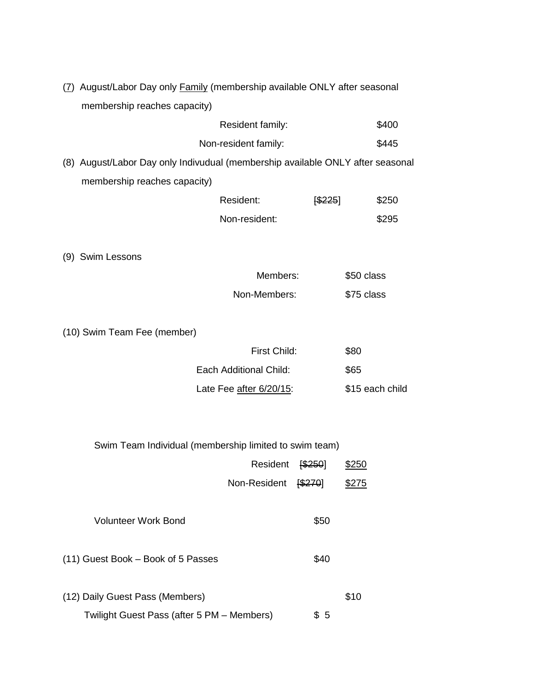| (7) August/Labor Day only Family (membership available ONLY after seasonal |
|----------------------------------------------------------------------------|
| membership reaches capacity)                                               |

| Resident family:     | \$400 |
|----------------------|-------|
| Non-resident family: | \$445 |

(8) August/Labor Day only Indivudual (membership available ONLY after seasonal membership reaches capacity)

| Resident:     | \$225] | \$250 |
|---------------|--------|-------|
| Non-resident: |        | \$295 |

(9) Swim Lessons

| Members:     | \$50 class |
|--------------|------------|
| Non-Members: | \$75 class |

(10) Swim Team Fee (member)

| First Child:            | \$80            |
|-------------------------|-----------------|
| Each Additional Child:  | \$65            |
| Late Fee after 6/20/15: | \$15 each child |

Swim Team Individual (membership limited to swim team)

|                                            | Resident     | \$250] | \$250 |
|--------------------------------------------|--------------|--------|-------|
|                                            | Non-Resident | \$270] | \$275 |
|                                            |              |        |       |
| <b>Volunteer Work Bond</b>                 |              | \$50   |       |
|                                            |              |        |       |
| (11) Guest Book - Book of 5 Passes         |              | \$40   |       |
|                                            |              |        |       |
| (12) Daily Guest Pass (Members)            |              |        | \$10  |
| Twilight Guest Pass (after 5 PM - Members) |              | \$5    |       |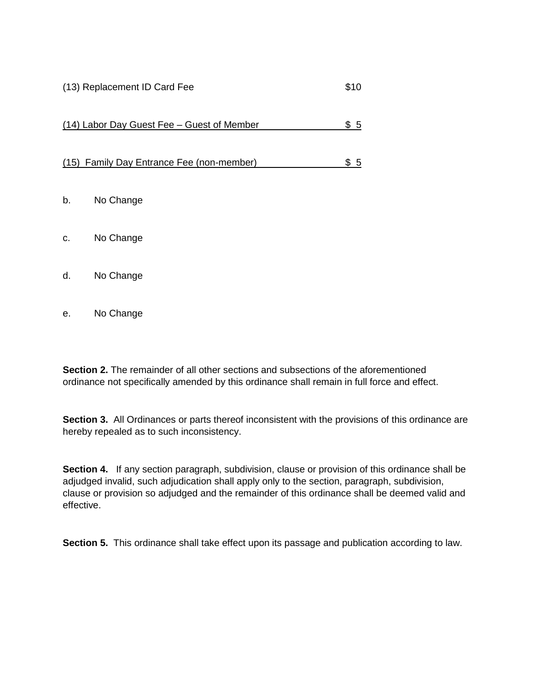#### (13) Replacement ID Card Fee \$10

| (14) Labor Day Guest Fee - Guest of Member<br>\$5 |
|---------------------------------------------------|
|---------------------------------------------------|

### (15) Family Day Entrance Fee (non-member) \$ 5

- b. No Change
- c. No Change
- d. No Change
- e. No Change

**Section 2.** The remainder of all other sections and subsections of the aforementioned ordinance not specifically amended by this ordinance shall remain in full force and effect.

**Section 3.** All Ordinances or parts thereof inconsistent with the provisions of this ordinance are hereby repealed as to such inconsistency.

**Section 4.** If any section paragraph, subdivision, clause or provision of this ordinance shall be adjudged invalid, such adjudication shall apply only to the section, paragraph, subdivision, clause or provision so adjudged and the remainder of this ordinance shall be deemed valid and effective.

**Section 5.** This ordinance shall take effect upon its passage and publication according to law.